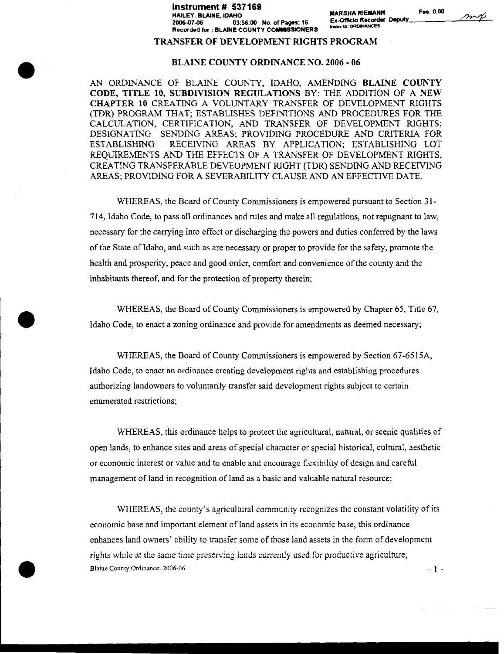#### **Instrument** # **537169 HAILEY, BLAINE, IDAH IDAH IDAHOOP MARSHA RIEMANN Fee: 0.00**<br>HAILEY, BLAINE, IDAHO<br>2006.07.08 **2006-07-06 03:56:00 No. of Pages: 16 Ex-Of lcio Recorder Deputy Recorded for : BLAINE COUNTY COMMISSIONERS Ind"**

index to: ORDINANCES

 $m$ p

#### **TRANSFER OF DEVELOPMENT RIGHTS PROGRAM**

#### **BLAINE COUNTY ORDINANCE NO. 2006 - 06**

AN ORDINANCE OF BLAINE COUNTY, IDAHO, AMENDING **BLAINE COUNTY CODE, TITLE 10, SUBDIVISION REGULATIONS** BY: THE ADDITION OF A **NEW CHAPTER 10** CREATING A VOLUNTARY TRANSFER OF DEVELOPMENT RIGHTS (TDR) PROGRAM THAT; ESTABLISHES DEFINITIONS AND PROCEDURES FOR THE CALCULATION, CERTIFICATION, AND TRANSFER OF DEVELOPMENT RIGHTS; DESIGNATING SENDING AREAS; PROVIDING PROCEDURE AND CRITERIA FOR ESTABLISHING RECEIVING AREAS BY APPLICATION; ESTABLISHING LOT REQUIREMENTS AND THE EFFECTS OF A TRANSFER OF DEVELOPMENT RIGHTS, CREATING TRANSFERABLE DEVEOPMENT RIGHT (TDR) SENDING AND RECEIVING AREAS; PROVIDING FOR A SEVERABILITY CLAUSE AND AN EFFECTIVE DATE.

WHEREAS, the Board of County Commissioners is empowered pursuant to Section 31- 714, Idaho Code, to pass all ordinances and rules and make all regulations, not repugnant to law, necessary for the carrying into effect or discharging the powers and duties conferred by the laws of the State of Idaho, and such as are necessary or proper to provide for the safety, promote the health and prosperity, peace and good order, comfort and convenience of the county and the inhabitants thereof, and for the protection of property therein;

WHEREAS, the Board of County Commissioners is empowered by Chapter 65, Title 67, Idaho Code, to enact a zoning ordinance and provide for amendments as deemed necessary;

**O**

**•**

WHEREAS, the Board of County Commissioners is empowered by Section 67-6515A, Idaho Code, to enact an ordinance creating development rights and establishing procedures authorizing landowners to voluntarily transfer said development rights subject to certain enumerated restrictions;

WHEREAS, this ordinance helps to protect the agricultural, natural, or scenic qualities of open lands, to enhance sites and areas of special character or special historical, cultural, aesthetic or economic interest or value and to enable and encourage flexibility of design and careful management of land in recognition of land as a basic and valuable natural resource;

WHEREAS, the county's agricultural community recognizes the constant volatility of its economic base and important element of land assets in its economic base, this ordinance enhances land owners' ability to transfer some of those land assets in the form of development rights while at the same time preserving lands currently used for productive agriculture; Blaine County Ordinance: 2006-06  $-1-$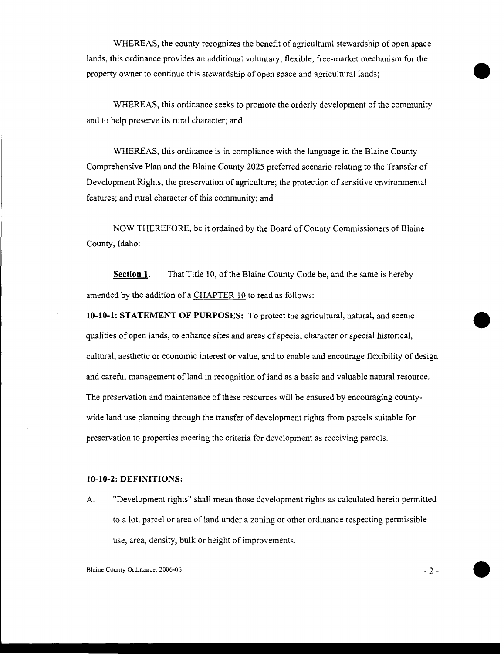WHEREAS, the county recognizes the benefit of agricultural stewardship of open space lands, this ordinance provides an additional voluntary, flexible, free-market mechanism for the property owner to continue this stewardship of open space and agricultural lands;

WHEREAS, this ordinance seeks to promote the orderly development of the community and to help preserve its rural character; and

WHEREAS, this ordinance is in compliance with the language in the Blaine County Comprehensive Plan and the Blaine County 2025 preferred scenario relating to the Transfer of Development Rights; the preservation of agriculture; the protection of sensitive environmental features; and rural character of this community; and

NOW THEREFORE, be it ordained by the Board of County Commissioners of Blaine County, Idaho:

**Section 1.** That Title 10, of the Blaine County Code be, and the same is hereby amended by the addition of a CHAPTER 10 to read as follows:

**10-10-1: STATEMENT OF PURPOSES:** To protect the agricultural, natural, and scenic qualities of open lands, to enhance sites and areas of special character or special historical, cultural, aesthetic or economic interest or value, and to enable and encourage flexibility of design and careful management of land in recognition of land as a basic and valuable natural resource. The preservation and maintenance of these resources will be ensured by encouraging countywide land use planning through the transfer of development rights from parcels suitable for preservation to properties meeting the criteria for development as receiving parcels.

#### **10-10-2: DEFINITIONS:**

A. "Development rights" shall mean those development rights as calculated herein permitted to a lot, parcel or area of land under a zoning or other ordinance respecting permissible use, area, density, bulk or height of improvements.

Blaine County Ordinance: 2006-06 2 2 2

•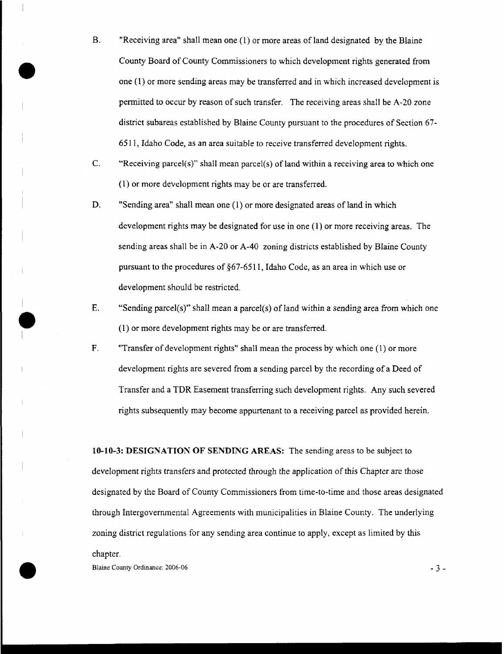- B. "Receiving area" shall mean one (1) or more areas of land designated by the Blaine County Board of County Commissioners to which development rights generated from one (1) or more sending areas may be transferred and in which increased development is permitted to occur by reason of such transfer. The receiving areas shall be A-20 zone district subareas established by Blaine County pursuant to the procedures of Section 67- 651 I, Idaho Code, as an area suitable to receive transferred development rights.
- C. "Receiving parcel(s)" shall mean parcel(s) of land within a receiving area to which one (1) or more development rights may be or are transferred.
- D. "Sending area" shall mean one (1) or more designated areas of land in which development rights may be designated for use in one (1) or more receiving areas. The sending areas shall be in A-20 or A-40 zoning districts established by Blaine County pursuant to the procedures of §67-6511, Idaho Code, as an area in which use or development should be restricted.
- E. "Sending parcel(s)" shall mean a parcel(s) of land within a sending area from which one (1) or more development rights may be or are transferred.
- F. "Transfer of development rights" shall mean the process by which one (1) or more development rights are severed from a sending parcel by the recording of a Deed of Transfer and a TDR Easement transferring such development rights. Any such severed rights subsequently may become appurtenant to a receiving parcel as provided herein.

**10-10-3: DESIGNATION OF SENDING AREAS:** The sending areas to be subject to development rights transfers and protected through the application of this Chapter are those designated by the Board of County Commissioners from time-to-time and those areas designated through Intergovernmental Agreements with municipalities in Blaine County. The underlying zoning district regulations for any sending area continue to apply, except as limited by this chapter.

Blaine County Ordinance: 2006-06 3 4 3 4 3 3 4 3 3 4 3 3 4 3 3 4 3 3 4 3 3 4 3 3 4 3 3 4 3 3 4 3 3 4 3 3 4 3 3 4 3 3 4 3 3 4 3 3 4 3 3 4 3 4 3 4 3 4 3 4 3 4 3 4 3 4 3 4 3 4 3 4 3 4 3 4 3 4 3 4 3 4 3 4 3 4 4 3 4 4 3 4 4 4 5

।<br>●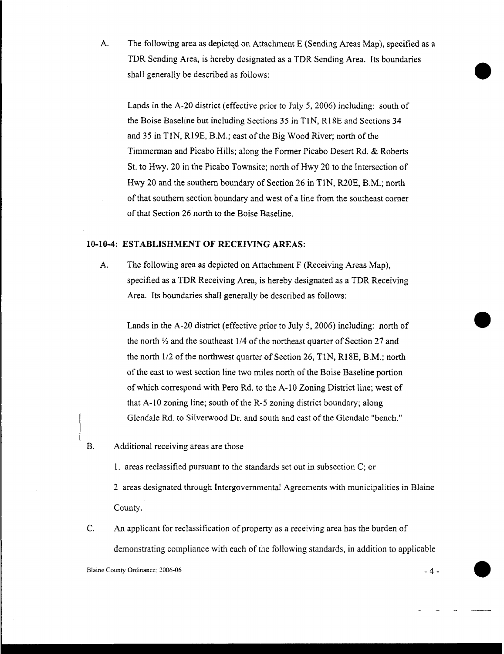A. The following area as depicted on Attachment E (Sending Areas Map), specified as a TDR Sending Area, is hereby designated as a TDR Sending Area. Its boundaries shall generally be described as follows:

Lands in the A-20 district (effective prior to July 5, 2006) including: south of the Boise Baseline but including Sections 35 in TIN, R18E and Sections 34 and 35 in TIN, R19E, B.M.; east of the Big Wood River; north of the Timmerman and Picabo Hills; along the Former Picabo Desert Rd. & Roberts St. to Hwy. 20 in the Picabo Townsite; north of Hwy 20 to the Intersection of Hwy 20 and the southern boundary of Section 26 in TIN, R20E, B.M.; north of that southern section boundary and west of a line from the southeast corner of that Section 26 north to the Boise Baseline.

### **10-10-4: ESTABLISHMENT OF RECEIVING AREAS:**

A. The following area as depicted on Attachment F (Receiving Areas Map), specified as a TDR Receiving Area, is hereby designated as a TDR Receiving Area. Its boundaries shall generally be described as follows:

Lands in the A-20 district (effective prior to July 5, 2006) including: north of the north  $\frac{1}{2}$  and the southeast 1/4 of the northeast quarter of Section 27 and the north 1/2 of the northwest quarter of Section 26, TIN, R18E, B.M.; north of the east to west section line two miles north of the Boise Baseline portion of which correspond with Pero Rd. to the A-10 Zoning District line; west of that A-10 zoning line; south of the R-5 zoning district boundary; along Glendale Rd. to Silverwood Dr. and south and east of the Glendale "bench."

- B. Additional receiving areas are those
	- I. areas reclassified pursuant to the standards set out in subsection C; or

2 areas designated through Intergovernmental Agreements with municipalities in Blaine County.

C. An applicant for reclassification of property as a receiving area has the burden of demonstrating compliance with each of the following standards, in addition to applicable

•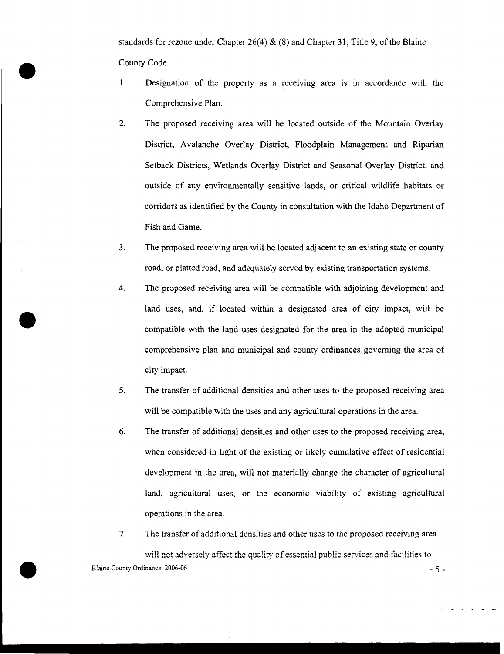standards for rezone under Chapter 26(4)  $\&$  (8) and Chapter 31, Title 9, of the Blaine County Code.

- 1. Designation of the property as a receiving area is in accordance with the Comprehensive Plan.
- 2. The proposed receiving area will be located outside of the Mountain Overlay District, Avalanche Overlay District, Floodplain Management and Riparian Setback Districts, Wetlands Overlay District and Seasonal Overlay District, and outside of any environmentally sensitive lands, or critical wildlife habitats or corridors as identified by the County in consultation with the Idaho Department of Fish and Game.
- 3. The proposed receiving area will be located adjacent to an existing state or county road, or platted road, and adequately served by existing transportation systems.
- 4. The proposed receiving area will be compatible with adjoining development and land uses, and, if located within a designated area of city impact, will be compatible with the land uses designated for the area in the adopted municipal comprehensive plan and municipal and county ordinances governing the area of city impact.
- 5. The transfer of additional densities and other uses to the proposed receiving area will be compatible with the uses and any agricultural operations in the area.
- 6. The transfer of additional densities and other uses to the proposed receiving area, when considered in light of the existing or likely cumulative effect of residential development in the area, will not materially change the character of agricultural land, agricultural uses, or the economic viability of existing agricultural operations in the area.
- 7. The transfer of additional densities and other uses to the proposed receiving area

will not adversely affect the quality of essential public services and facilities to Blaine County Ordinance: 2006-06 - 5 -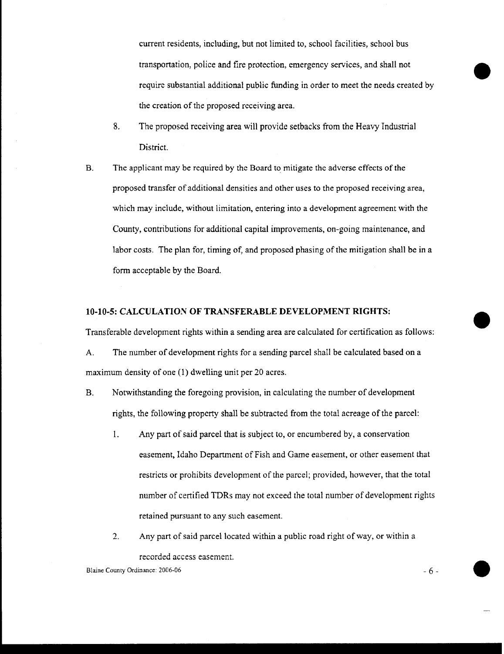current residents, including, but not limited to, school facilities, school bus transportation, police and fire protection, emergency services, and shall not require substantial additional public funding in order to meet the needs created by the creation of the proposed receiving area.

- 8. The proposed receiving area will provide setbacks from the Heavy Industrial District.
- B. The applicant may be required by the Board to mitigate the adverse effects of the proposed transfer of additional densities and other uses to the proposed receiving area, which may include, without limitation, entering into a development agreement with the County, contributions for additional capital improvements, on-going maintenance, and labor costs. The plan for, timing of, and proposed phasing of the mitigation shall be in a form acceptable by the Board.

### **10-10-5: CALCULATION OF TRANSFERABLE DEVELOPMENT RIGHTS:**

Transferable development rights within a sending area are calculated for certification as follows:

A. The number of development rights for a sending parcel shall be calculated based on a maximum density of one (1) dwelling unit per 20 acres.

- B. Notwithstanding the foregoing provision, in calculating the number of development rights, the following property shall be subtracted from the total acreage of the parcel:
	- 1. Any part of said parcel that is subject to, or encumbered by, a conservation easement, Idaho Department of Fish and Game easement, or other easement that restricts or prohibits development of the parcel; provided, however, that the total number of certified TDRs may not exceed the total number of development rights retained pursuant to any such easement.
	- 2. Any part of said parcel located within a public road right of way, or within a recorded access easement.

Blaine County Ordinance: 2006-06 - 6

**10**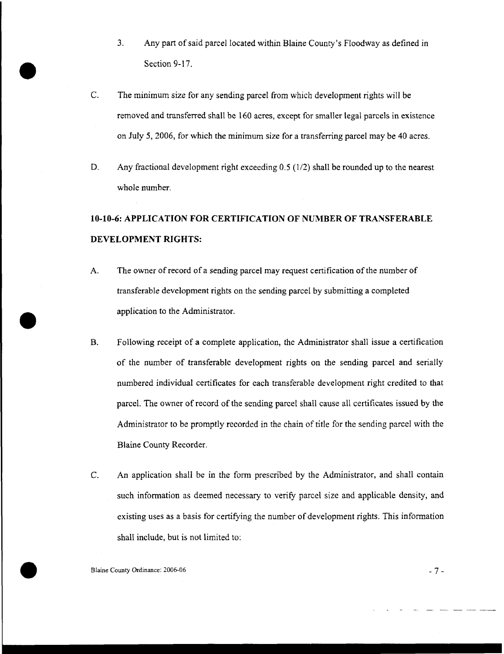- 3. Any part of said parcel located within Blaine County's Floodway as defined in Section 9-17.
- C. The minimum size for any sending parcel from which development rights will be removed and transferred shall be 160 acres, except for smaller legal parcels in existence on July 5, 2006, for which the minimum size for a transferring parcel may be 40 acres.
- D. Any fractional development right exceeding 0.5 (1/2) shall be rounded up to the nearest whole number.

# **10-10-6: APPLICATION FOR CERTIFICATION OF NUMBER OF TRANSFERABLE DEVELOPMENT RIGHTS:**

- A. The owner of record of a sending parcel may request certification of the number of transferable development rights on the sending parcel by submitting a completed application to the Administrator.
- B. Following receipt of a complete application, the Administrator shall issue a certification of the number of transferable development rights on the sending parcel and serially numbered individual certificates for each transferable development right credited to that parcel. The owner of record of the sending parcel shall cause all certificates issued by the Administrator to be promptly recorded in the chain of title for the sending parcel with the Blaine County Recorder.
- C. An application shall be in the form prescribed by the Administrator, and shall contain such information as deemed necessary to verify parcel size and applicable density, and existing uses as a basis for certifying the number of development rights. This information shall include, but is not limited to:

Blaine County Ordinance: 2006-06 -7-

**O**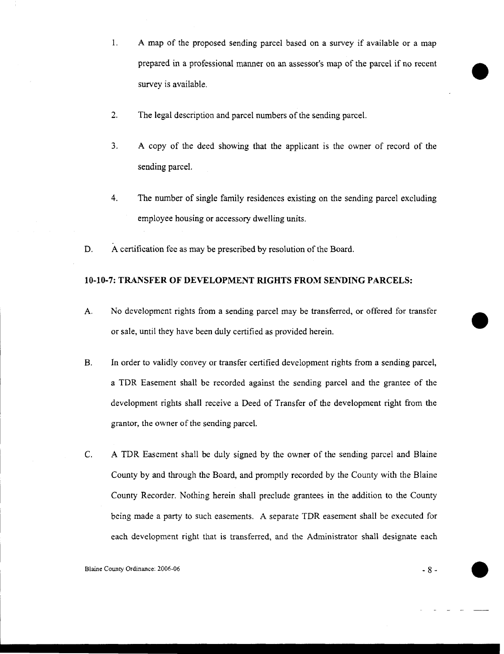- 1. A map of the proposed sending parcel based on a survey if available or a map prepared in a professional manner on an assessor's map of the parcel if no recent survey is available.
- $2.$ The legal description and parcel numbers of the sending parcel.
- 3. A copy of the deed showing that the applicant is the owner of record of the sending parcel.
- 4. The number of single family residences existing on the sending parcel excluding employee housing or accessory dwelling units.
- D. A certification fee as may be prescribed by resolution of the Board.

## **10-10-7:** TRANSFER OF **DEVELOPMENT RIGHTS** FROM SENDING **PARCELS:**

- A. No development rights from a sending parcel may be transferred, or offered for transfer or sale, until they have been duly certified as provided herein.
- B. In order to validly convey or transfer certified development rights from a sending parcel, a TDR Easement shall be recorded against the sending parcel and the grantee of the development rights shall receive a Deed of Transfer of the development right from the grantor, the owner of the sending parcel.
- C. A TDR Easement shall be duly signed by the owner of the sending parcel and Blaine County by and through the Board, and promptly recorded by the County with the Blaine County Recorder. Nothing herein shall preclude grantees in the addition to the County being made a party to such easements. A separate TDR easement shall be executed for each development right that is transferred, and the Administrator shall designate each

Blaine County Ordinance: 2006-06 8 8 - 8 8 - 8 8 - 8 8 - 8 8 - 8 8 - 8 8 - 8 8 - 8 8 - 8 8 - 8 8 - 8 8 - 8 8 - 8 8 - 8 8 - 8 8 - 8 8 - 8 8 - 8 8 - 8 8 - 8 8 - 8 8 - 8 8 - 8 8 - 8 8 - 8 8 - 8 8 - 8 8 - 8 8 - 8 8 - 8 8 - 8 8

•

•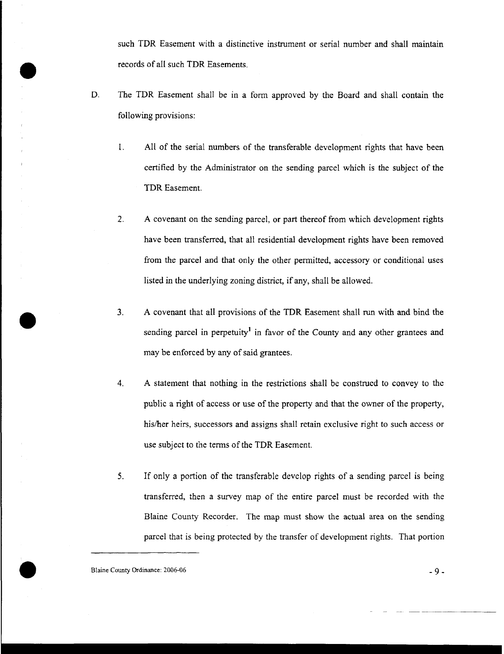such TDR Easement with a distinctive instrument or serial number and shall maintain records of all such TDR Easements.

- D. The TDR Easement shall be in a form approved by the Board and shall contain the following provisions:
	- 1. All of the serial numbers of the transferable development rights that have been certified by the Administrator on the sending parcel which is the subject of the TDR Easement.
	- 2. A covenant on the sending parcel, or part thereof from which development rights have been transferred, that all residential development rights have been removed from the parcel and that only the other permitted, accessory or conditional uses listed in the underlying zoning district, if any, shall be allowed.
	- 3. A covenant that all provisions of the TDR Easement shall run with and bind the sending parcel in perpetuity<sup>1</sup> in favor of the County and any other grantees and may be enforced by any of said grantees.
	- 4. A statement that nothing in the restrictions shall be construed to convey to the public a right of access or use of the property and that the owner of the property, his/her heirs, successors and assigns shall retain exclusive right to such access or use subject to the terms of the TDR Easement.
	- 5. If only a portion of the transferable develop rights of a sending parcel is being transferred, then a survey map of the entire parcel must be recorded with the Blaine County Recorder. The map must show the actual area on the sending parcel that is being protected by the transfer of development rights. That portion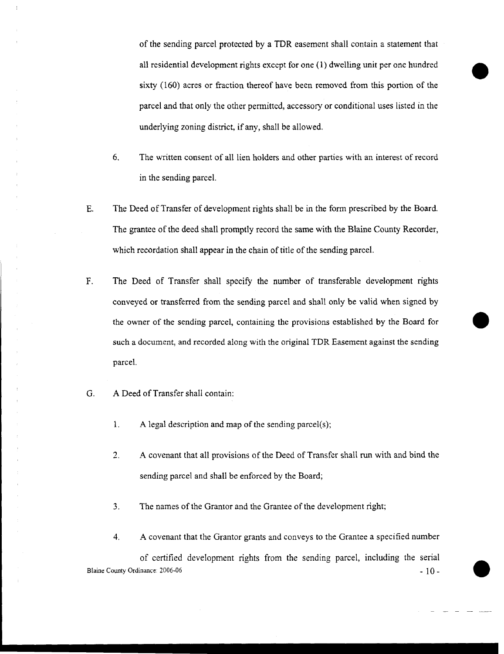of the sending parcel protected by a TDR easement shall contain a statement that all residential development rights except for one (1) dwelling unit per one hundred sixty (160) acres or fraction thereof have been removed from this portion of the parcel and that only the other permitted, accessory or conditional uses listed in the underlying zoning district, if any, shall be allowed.

•

•

**O**

- 6. The written consent of all lien holders and other parties with an interest of record in the sending parcel.
- E. The Deed of Transfer of development rights shall be in the form prescribed by the Board. The grantee of the deed shall promptly record the same with the Blaine County Recorder, which recordation shall appear in the chain of title of the sending parcel.
- F. The Deed of Transfer shall specify the number of transferable development rights conveyed or transferred from the sending parcel and shall only be valid when signed by the owner of the sending parcel, containing the provisions established by the Board for such a document, and recorded along with the original TDR Easement against the sending parcel.
- G. A Deed of Transfer shall contain:
	- 1. A legal description and map of the sending parcel(s);
	- 2. A covenant that all provisions of the Deed of Transfer shall run with and bind the sending parcel and shall be enforced by the Board;
	- 3. The names of the Grantor and the Grantee of the development right;
	- 4. A covenant that the Grantor grants and conveys to the Grantee a specified number

of certified development rights from the sending parcel, including the serial Blaine County Ordinance:  $2006-06$  - 10 - 10  $-$  10  $-$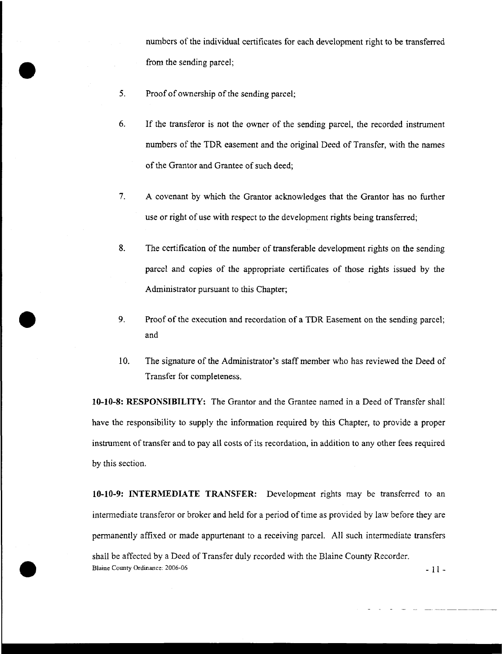numbers of the individual certificates for each development right to be transferred from the sending parcel;

5. Proof of ownership of the sending parcel;

•

- 6. If the transferor is not the owner of the sending parcel, the recorded instrument numbers of the TDR easement and the original Deed of Transfer, with the names of the Grantor and Grantee of such deed;
- 7. A covenant by which the Grantor acknowledges that the Grantor has no further use or right of use with respect to the development rights being transferred;
- 8. The certification of the number of transferable development rights on the sending parcel and copies of the appropriate certificates of those rights issued by the Administrator pursuant to this Chapter;
- 9. Proof of the execution and recordation of a TDR Easement on the sending parcel; and
- 10. The signature of the Administrator's staff member who has reviewed the Deed of Transfer for completeness.

**10-10-8: RESPONSIBILITY:** The Grantor and the Grantee named in a Deed of Transfer shall have the responsibility to supply the information required by this Chapter, to provide a proper instrument of transfer and to pay all costs of its recordation, in addition to any other fees required by this section.

**10-10-9: INTERMEDIATE TRANSFER:** Development rights may be transferred to an intermediate transferor or broker and held for a period of time as provided by law before they are permanently affixed or made appurtenant to a receiving parcel. All such intermediate transfers shall be affected by a Deed of Transfer duly recorded with the Blaine County Recorder. Blaine County Ordinance: 2006-06 -11-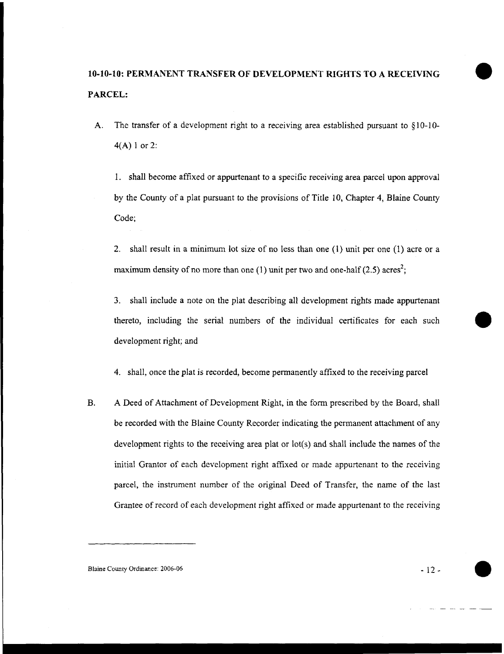## **10-10-10: PERMANENT TRANSFER OF DEVELOPMENT RIGHTS TO A RECEIVING PARCEL:**

A. The transfer of a development right to a receiving area established pursuant to § 10-10- 4(A) 1 or 2:

1. shall become affixed or appurtenant to a specific receiving area parcel upon approval by the County of a plat pursuant to the provisions of Title 10, Chapter 4, Blaine County Code;

2. shall result in a minimum lot size of no less than one (1) unit per one (1) acre or a maximum density of no more than one (1) unit per two and one-half (2.5) acres<sup>2</sup>;

3. shall include a note on the plat describing all development rights made appurtenant thereto, including the serial numbers of the individual certificates for each such development right; and

4. shall, once the plat is recorded, become permanently affixed to the receiving parcel

B. A Deed of Attachment of Development Right, in the form prescribed by the Board, shall be recorded with the Blaine County Recorder indicating the permanent attachment of any development rights to the receiving area plat or lot(s) and shall include the names of the initial Grantor of each development right affixed or made appurtenant to the receiving parcel, the instrument number of the original Deed of Transfer, the name of the last Grantee of record of each development right affixed or made appurtenant to the receiving

Blaine County Ordinance: 2006-06 12 and 2008-06 12 and 2008-06 12 and 2008-06 12 and 2008-06 12 and 2008-06 12 and 2008-06 12 and 2008-06 12 and 2008-06 12 and 2008-06 12 and 2008-06 12 and 2008-06 12 and 2008-06 12 and 20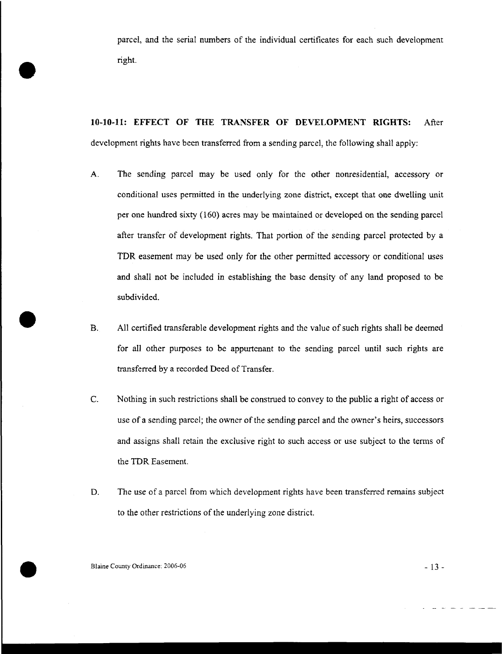parcel, and the serial numbers of the individual certificates for each such development right.

**10-10-11: EFFECT OF THE TRANSFER OF DEVELOPMENT RIGHTS:** After development rights have been transferred from a sending parcel, the following shall apply:

- A. The sending parcel may be used only for the other nonresidential, accessory or conditional uses permitted in the underlying zone district, except that one dwelling unit per one hundred sixty (160) acres may be maintained or developed on the sending parcel after transfer of development rights. That portion of the sending parcel protected by a TDR easement may be used only for the other permitted accessory or conditional uses and shall not be included in establishing the base density of any land proposed to be subdivided.
- B. All certified transferable development rights and the value of such rights shall be deemed for all other purposes to be appurtenant to the sending parcel until such rights are transferred by a recorded Deed of Transfer.
- C. Nothing in such restrictions shall be construed to convey to the public a right of access or use of a sending parcel; the owner of the sending parcel and the owner's heirs, successors and assigns shall retain the exclusive right to such access or use subject to the terms of the TDR Easement.
- D. The use of a parcel from which development rights have been transferred remains subject to the other restrictions of the underlying zone district.

Blaine County Ordinance:  $2006-06$  - 13 -

•